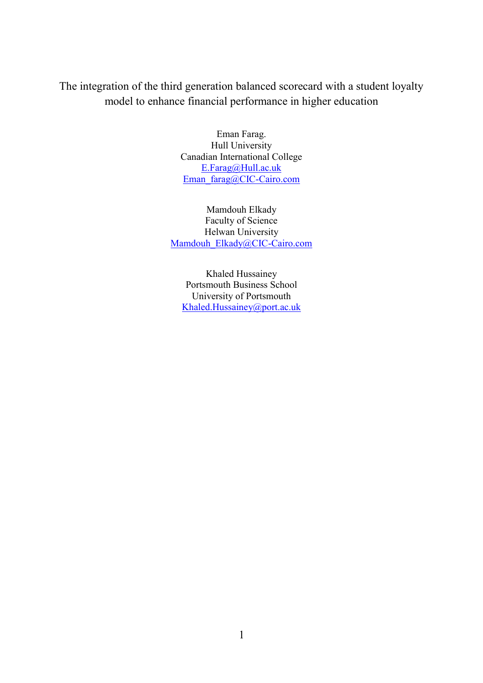The integration of the third generation balanced scorecard with a student loyalty model to enhance financial performance in higher education

> Eman Farag. Hull University Canadian International College [E.Farag@Hull.ac.uk](mailto:E.Farag@Hull.ac.uk) [Eman\\_farag@CIC-Cairo.com](mailto:Eman_farag@CIC-Cairo.com)

Mamdouh Elkady Faculty of Science Helwan University [Mamdouh\\_Elkady@CIC-Cairo.com](mailto:M.Elkady@yahoo.com)

Khaled Hussainey Portsmouth Business School University of Portsmouth [Khaled.Hussainey@port.ac.uk](mailto:Khaled.Hussainey@port.ac.uk)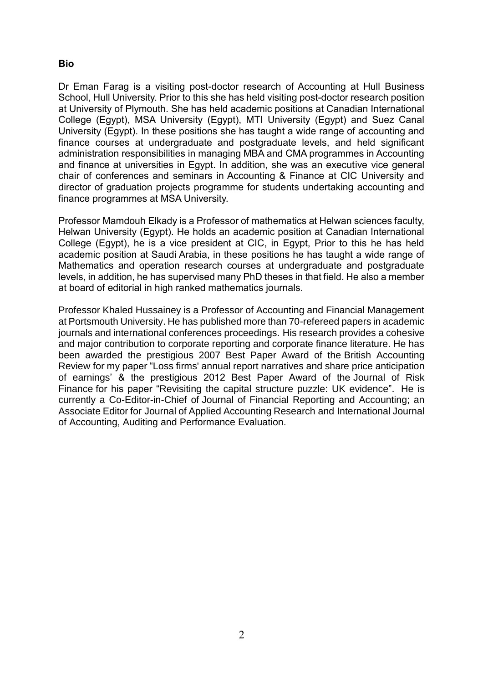# **Bio**

Dr Eman Farag is a visiting post-doctor research of Accounting at Hull Business School, Hull University. Prior to this she has held visiting post-doctor research position at University of Plymouth. She has held academic positions at Canadian International College (Egypt), MSA University (Egypt), MTI University (Egypt) and Suez Canal University (Egypt). In these positions she has taught a wide range of accounting and finance courses at undergraduate and postgraduate levels, and held significant administration responsibilities in managing MBA and CMA programmes in Accounting and finance at universities in Egypt. In addition, she was an executive vice general chair of conferences and seminars in Accounting & Finance at CIC University and director of graduation projects programme for students undertaking accounting and finance programmes at MSA University.

Professor Mamdouh Elkady is a Professor of mathematics at Helwan sciences faculty, Helwan University (Egypt). He holds an academic position at Canadian International College (Egypt), he is a vice president at CIC, in Egypt, Prior to this he has held academic position at Saudi Arabia, in these positions he has taught a wide range of Mathematics and operation research courses at undergraduate and postgraduate levels, in addition, he has supervised many PhD theses in that field. He also a member at board of editorial in high ranked mathematics journals.

Professor Khaled Hussainey is a Professor of Accounting and Financial Management at Portsmouth University. He has published more than 70-refereed papers in academic journals and international conferences proceedings. His research provides a cohesive and major contribution to corporate reporting and corporate finance literature. He has been awarded the prestigious 2007 Best Paper Award of the British Accounting Review for my paper "Loss firms' annual report narratives and share price anticipation of earnings' & the prestigious 2012 Best Paper Award of the Journal of Risk Finance for his paper "Revisiting the capital structure puzzle: UK evidence". He is currently a Co-Editor-in-Chief of Journal of Financial Reporting and Accounting; an Associate Editor for Journal of Applied Accounting Research and International Journal of Accounting, Auditing and Performance Evaluation.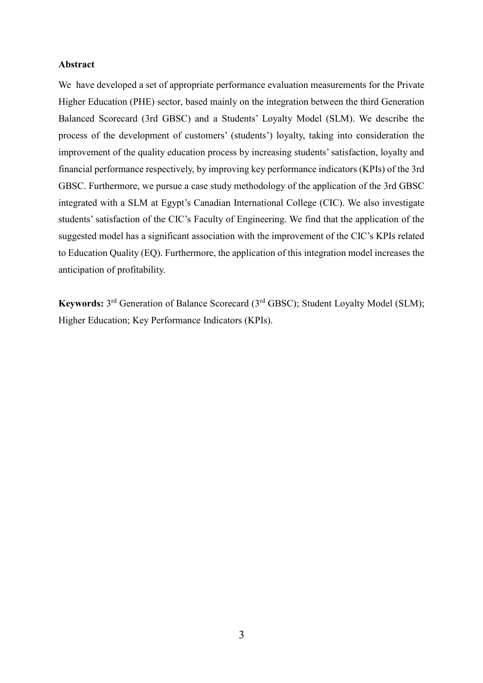#### **Abstract**

We have developed a set of appropriate performance evaluation measurements for the Private Higher Education (PHE) sector, based mainly on the integration between the third Generation Balanced Scorecard (3rd GBSC) and a Students' Loyalty Model (SLM). We describe the process of the development of customers' (students') loyalty, taking into consideration the improvement of the quality education process by increasing students' satisfaction, loyalty and financial performance respectively, by improving key performance indicators (KPIs) of the 3rd GBSC. Furthermore, we pursue a case study methodology of the application of the 3rd GBSC integrated with a SLM at Egypt's Canadian International College (CIC). We also investigate students' satisfaction of the CIC's Faculty of Engineering. We find that the application of the suggested model has a significant association with the improvement of the CIC's KPIs related to Education Quality (EQ). Furthermore, the application of this integration model increases the anticipation of profitability.

Keywords: 3<sup>rd</sup> Generation of Balance Scorecard (3<sup>rd</sup> GBSC); Student Loyalty Model (SLM); Higher Education; Key Performance Indicators (KPIs).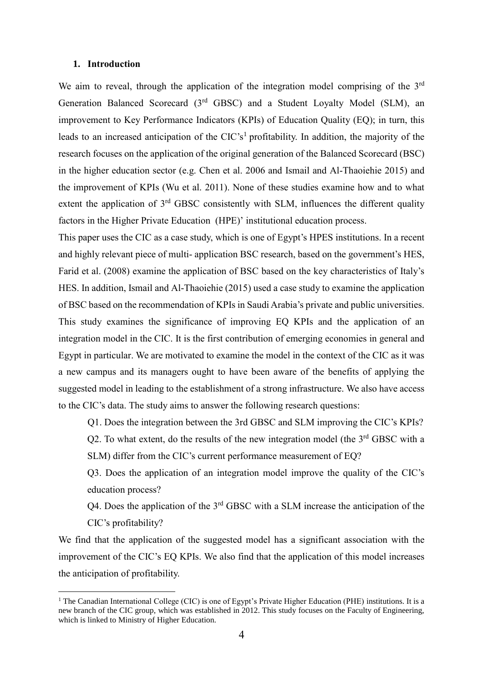#### **1. Introduction**

<u>.</u>

We aim to reveal, through the application of the integration model comprising of the  $3<sup>rd</sup>$ Generation Balanced Scorecard (3rd GBSC) and a Student Loyalty Model (SLM), an improvement to Key Performance Indicators (KPIs) of Education Quality (EQ); in turn, this leads to an increased anticipation of the CIC's<sup>1</sup> profitability. In addition, the majority of the research focuses on the application of the original generation of the Balanced Scorecard (BSC) in the higher education sector (e.g. Chen et al. 2006 and Ismail and Al-Thaoiehie 2015) and the improvement of KPIs (Wu et al. 2011). None of these studies examine how and to what extent the application of 3<sup>rd</sup> GBSC consistently with SLM, influences the different quality factors in the Higher Private Education (HPE)' institutional education process.

This paper uses the CIC as a case study, which is one of Egypt's HPES institutions. In a recent and highly relevant piece of multi- application BSC research, based on the government's HES, Farid et al. (2008) examine the application of BSC based on the key characteristics of Italy's HES. In addition, Ismail and Al-Thaoiehie (2015) used a case study to examine the application of BSC based on the recommendation of KPIs in Saudi Arabia's private and public universities. This study examines the significance of improving EQ KPIs and the application of an integration model in the CIC. It is the first contribution of emerging economies in general and Egypt in particular. We are motivated to examine the model in the context of the CIC as it was a new campus and its managers ought to have been aware of the benefits of applying the suggested model in leading to the establishment of a strong infrastructure. We also have access to the CIC's data. The study aims to answer the following research questions:

Q1. Does the integration between the 3rd GBSC and SLM improving the CIC's KPIs? Q2. To what extent, do the results of the new integration model (the  $3<sup>rd</sup>$  GBSC with a SLM) differ from the CIC's current performance measurement of EQ?

Q3. Does the application of an integration model improve the quality of the CIC's education process?

 $Q4$ . Does the application of the  $3<sup>rd</sup>$  GBSC with a SLM increase the anticipation of the CIC's profitability?

We find that the application of the suggested model has a significant association with the improvement of the CIC's EQ KPIs. We also find that the application of this model increases the anticipation of profitability.

<sup>&</sup>lt;sup>1</sup> The Canadian International College (CIC) is one of Egypt's Private Higher Education (PHE) institutions. It is a new branch of the CIC group, which was established in 2012. This study focuses on the Faculty of Engineering, which is linked to Ministry of Higher Education.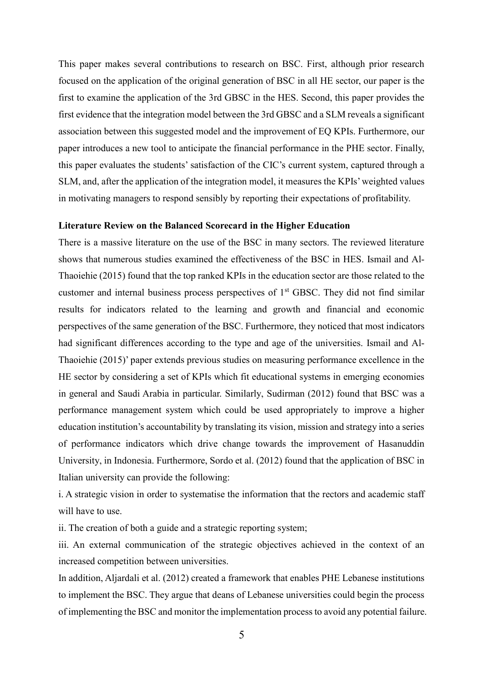This paper makes several contributions to research on BSC. First, although prior research focused on the application of the original generation of BSC in all HE sector, our paper is the first to examine the application of the 3rd GBSC in the HES. Second, this paper provides the first evidence that the integration model between the 3rd GBSC and a SLM reveals a significant association between this suggested model and the improvement of EQ KPIs. Furthermore, our paper introduces a new tool to anticipate the financial performance in the PHE sector. Finally, this paper evaluates the students' satisfaction of the CIC's current system, captured through a SLM, and, after the application of the integration model, it measures the KPIs'weighted values in motivating managers to respond sensibly by reporting their expectations of profitability.

#### **Literature Review on the Balanced Scorecard in the Higher Education**

There is a massive literature on the use of the BSC in many sectors. The reviewed literature shows that numerous studies examined the effectiveness of the BSC in HES. Ismail and Al-Thaoiehie (2015) found that the top ranked KPIs in the education sector are those related to the customer and internal business process perspectives of 1<sup>st</sup> GBSC. They did not find similar results for indicators related to the learning and growth and financial and economic perspectives of the same generation of the BSC. Furthermore, they noticed that most indicators had significant differences according to the type and age of the universities. Ismail and Al-Thaoiehie (2015)' paper extends previous studies on measuring performance excellence in the HE sector by considering a set of KPIs which fit educational systems in emerging economies in general and Saudi Arabia in particular. Similarly, Sudirman (2012) found that BSC was a performance management system which could be used appropriately to improve a higher education institution's accountability by translating its vision, mission and strategy into a series of performance indicators which drive change towards the improvement of Hasanuddin University, in Indonesia. Furthermore, Sordo et al. (2012) found that the application of BSC in Italian university can provide the following:

i. A strategic vision in order to systematise the information that the rectors and academic staff will have to use.

ii. The creation of both a guide and a strategic reporting system;

iii. An external communication of the strategic objectives achieved in the context of an increased competition between universities.

In addition, Aljardali et al. (2012) created a framework that enables PHE Lebanese institutions to implement the BSC. They argue that deans of Lebanese universities could begin the process of implementing the BSC and monitor the implementation process to avoid any potential failure.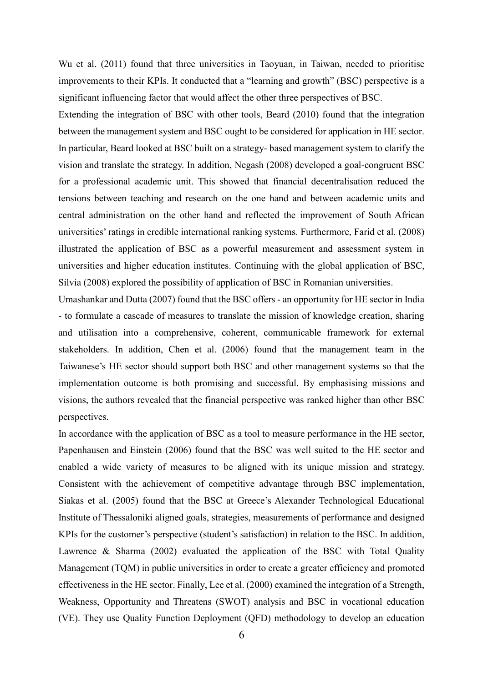Wu et al. (2011) found that three universities in Taoyuan, in Taiwan, needed to prioritise improvements to their KPIs. It conducted that a "learning and growth" (BSC) perspective is a significant influencing factor that would affect the other three perspectives of BSC.

Extending the integration of BSC with other tools, Beard (2010) found that the integration between the management system and BSC ought to be considered for application in HE sector. In particular, Beard looked at BSC built on a strategy- based management system to clarify the vision and translate the strategy. In addition, Negash (2008) developed a goal-congruent BSC for a professional academic unit. This showed that financial decentralisation reduced the tensions between teaching and research on the one hand and between academic units and central administration on the other hand and reflected the improvement of South African universities' ratings in credible international ranking systems. Furthermore, Farid et al. (2008) illustrated the application of BSC as a powerful measurement and assessment system in universities and higher education institutes. Continuing with the global application of BSC, Silvia (2008) explored the possibility of application of BSC in Romanian universities.

Umashankar and Dutta (2007) found that the BSC offers - an opportunity for HE sector in India - to formulate a cascade of measures to translate the mission of knowledge creation, sharing and utilisation into a comprehensive, coherent, communicable framework for external stakeholders. In addition, Chen et al. (2006) found that the management team in the Taiwanese's HE sector should support both BSC and other management systems so that the implementation outcome is both promising and successful. By emphasising missions and visions, the authors revealed that the financial perspective was ranked higher than other BSC perspectives.

In accordance with the application of BSC as a tool to measure performance in the HE sector, Papenhausen and Einstein (2006) found that the BSC was well suited to the HE sector and enabled a wide variety of measures to be aligned with its unique mission and strategy. Consistent with the achievement of competitive advantage through BSC implementation, Siakas et al. (2005) found that the BSC at Greece's Alexander Technological Educational Institute of Thessaloniki aligned goals, strategies, measurements of performance and designed KPIs for the customer's perspective (student's satisfaction) in relation to the BSC. In addition, Lawrence & Sharma (2002) evaluated the application of the BSC with Total Quality Management (TQM) in public universities in order to create a greater efficiency and promoted effectiveness in the HE sector. Finally, Lee et al. (2000) examined the integration of a Strength, Weakness, Opportunity and Threatens (SWOT) analysis and BSC in vocational education (VE). They use Quality Function Deployment (QFD) methodology to develop an education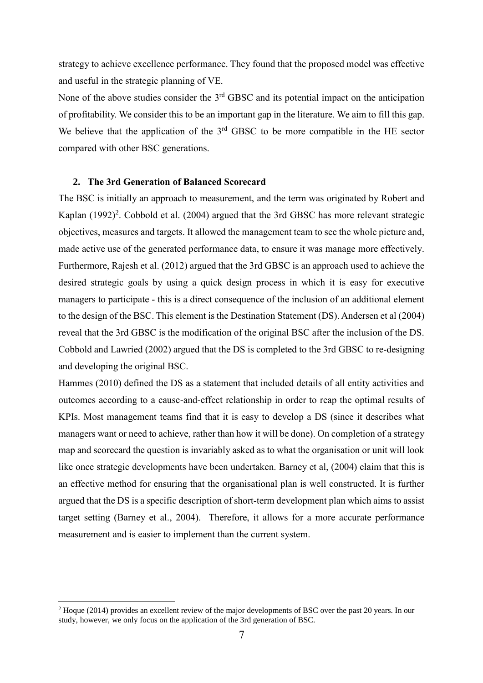strategy to achieve excellence performance. They found that the proposed model was effective and useful in the strategic planning of VE.

None of the above studies consider the 3<sup>rd</sup> GBSC and its potential impact on the anticipation of profitability. We consider this to be an important gap in the literature. We aim to fill this gap. We believe that the application of the  $3<sup>rd</sup>$  GBSC to be more compatible in the HE sector compared with other BSC generations.

#### **2. The 3rd Generation of Balanced Scorecard**

The BSC is initially an approach to measurement, and the term was originated by Robert and Kaplan  $(1992)^2$ . Cobbold et al.  $(2004)$  argued that the 3rd GBSC has more relevant strategic objectives, measures and targets. It allowed the management team to see the whole picture and, made active use of the generated performance data, to ensure it was manage more effectively. Furthermore, Rajesh et al. (2012) argued that the 3rd GBSC is an approach used to achieve the desired strategic goals by using a quick design process in which it is easy for executive managers to participate - this is a direct consequence of the inclusion of an additional element to the design of the BSC. This element is the Destination Statement (DS). Andersen et al (2004) reveal that the 3rd GBSC is the modification of the original BSC after the inclusion of the DS. Cobbold and Lawried (2002) argued that the DS is completed to the 3rd GBSC to re-designing and developing the original BSC.

Hammes (2010) defined the DS as a statement that included details of all entity activities and outcomes according to a cause-and-effect relationship in order to reap the optimal results of KPIs. Most management teams find that it is easy to develop a DS (since it describes what managers want or need to achieve, rather than how it will be done). On completion of a strategy map and scorecard the question is invariably asked as to what the organisation or unit will look like once strategic developments have been undertaken. Barney et al, (2004) claim that this is an effective method for ensuring that the organisational plan is well constructed. It is further argued that the DS is a specific description of short-term development plan which aims to assist target setting (Barney et al., 2004). Therefore, it allows for a more accurate performance measurement and is easier to implement than the current system.

1

<sup>&</sup>lt;sup>2</sup> Hoque (2014) provides an excellent review of the major developments of BSC over the past 20 years. In our study, however, we only focus on the application of the 3rd generation of BSC.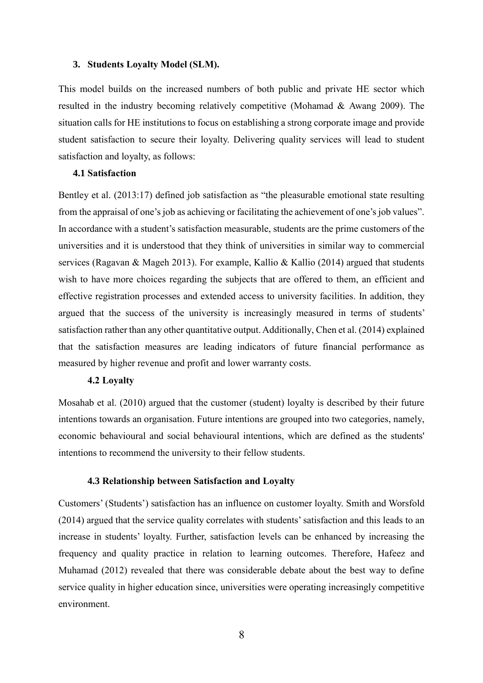#### **3. Students Loyalty Model (SLM).**

This model builds on the increased numbers of both public and private HE sector which resulted in the industry becoming relatively competitive (Mohamad & Awang 2009). The situation calls for HE institutions to focus on establishing a strong corporate image and provide student satisfaction to secure their loyalty. Delivering quality services will lead to student satisfaction and loyalty, as follows:

## **4.1 Satisfaction**

Bentley et al. (2013:17) defined job satisfaction as "the pleasurable emotional state resulting from the appraisal of one's job as achieving or facilitating the achievement of one's job values". In accordance with a student's satisfaction measurable, students are the prime customers of the universities and it is understood that they think of universities in similar way to commercial services (Ragavan & Mageh 2013). For example, Kallio & Kallio (2014) argued that students wish to have more choices regarding the subjects that are offered to them, an efficient and effective registration processes and extended access to university facilities. In addition, they argued that the success of the university is increasingly measured in terms of students' satisfaction rather than any other quantitative output. Additionally, Chen et al. (2014) explained that the satisfaction measures are leading indicators of future financial performance as measured by higher revenue and profit and lower warranty costs.

#### **4.2 Loyalty**

Mosahab et al. (2010) argued that the customer (student) loyalty is described by their future intentions towards an organisation. Future intentions are grouped into two categories, namely, economic behavioural and social behavioural intentions, which are defined as the students' intentions to recommend the university to their fellow students.

#### **4.3 Relationship between Satisfaction and Loyalty**

Customers' (Students') satisfaction has an influence on customer loyalty. Smith and Worsfold (2014) argued that the service quality correlates with students' satisfaction and this leads to an increase in students' loyalty. Further, satisfaction levels can be enhanced by increasing the frequency and quality practice in relation to learning outcomes. Therefore, Hafeez and Muhamad (2012) revealed that there was considerable debate about the best way to define service quality in higher education since, universities were operating increasingly competitive environment.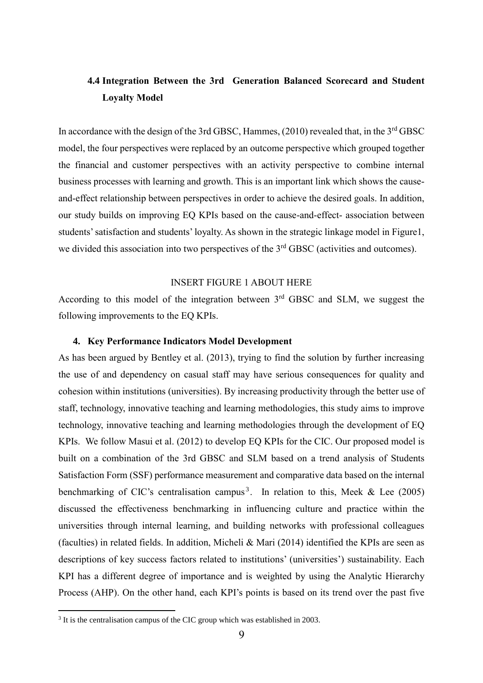# **4.4 Integration Between the 3rd Generation Balanced Scorecard and Student Loyalty Model**

In accordance with the design of the 3rd GBSC, Hammes, (2010) revealed that, in the 3<sup>rd</sup> GBSC model, the four perspectives were replaced by an outcome perspective which grouped together the financial and customer perspectives with an activity perspective to combine internal business processes with learning and growth. This is an important link which shows the causeand-effect relationship between perspectives in order to achieve the desired goals. In addition, our study builds on improving EQ KPIs based on the cause-and-effect- association between students' satisfaction and students'loyalty. As shown in the strategic linkage model in Figure1, we divided this association into two perspectives of the  $3<sup>rd</sup>$  GBSC (activities and outcomes).

#### INSERT FIGURE 1 ABOUT HERE

According to this model of the integration between  $3<sup>rd</sup>$  GBSC and SLM, we suggest the following improvements to the EQ KPIs.

#### **4. Key Performance Indicators Model Development**

As has been argued by Bentley et al. (2013), trying to find the solution by further increasing the use of and dependency on casual staff may have serious consequences for quality and cohesion within institutions (universities). By increasing productivity through the better use of staff, technology, innovative teaching and learning methodologies, this study aims to improve technology, innovative teaching and learning methodologies through the development of EQ KPIs. We follow Masui et al. (2012) to develop EQ KPIs for the CIC. Our proposed model is built on a combination of the 3rd GBSC and SLM based on a trend analysis of Students Satisfaction Form (SSF) performance measurement and comparative data based on the internal benchmarking of CIC's centralisation campus<sup>3</sup>. In relation to this, Meek  $&$  Lee (2005) discussed the effectiveness benchmarking in influencing culture and practice within the universities through internal learning, and building networks with professional colleagues (faculties) in related fields. In addition, Micheli & Mari (2014) identified the KPIs are seen as descriptions of key success factors related to institutions' (universities') sustainability. Each KPI has a different degree of importance and is weighted by using the Analytic Hierarchy Process (AHP). On the other hand, each KPI's points is based on its trend over the past five

1

<sup>&</sup>lt;sup>3</sup> It is the centralisation campus of the CIC group which was established in 2003.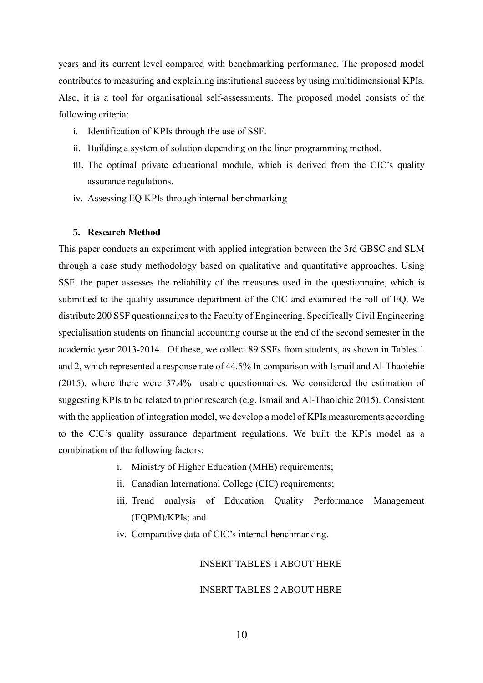years and its current level compared with benchmarking performance. The proposed model contributes to measuring and explaining institutional success by using multidimensional KPIs. Also, it is a tool for organisational self-assessments. The proposed model consists of the following criteria:

- i. Identification of KPIs through the use of SSF.
- ii. Building a system of solution depending on the liner programming method.
- iii. The optimal private educational module, which is derived from the CIC's quality assurance regulations.
- iv. Assessing EQ KPIs through internal benchmarking

#### **5. Research Method**

This paper conducts an experiment with applied integration between the 3rd GBSC and SLM through a case study methodology based on qualitative and quantitative approaches. Using SSF, the paper assesses the reliability of the measures used in the questionnaire, which is submitted to the quality assurance department of the CIC and examined the roll of EQ. We distribute 200 SSF questionnaires to the Faculty of Engineering, Specifically Civil Engineering specialisation students on financial accounting course at the end of the second semester in the academic year 2013-2014. Of these, we collect 89 SSFs from students, as shown in Tables 1 and 2, which represented a response rate of 44.5% In comparison with Ismail and Al-Thaoiehie (2015), where there were 37.4% usable questionnaires. We considered the estimation of suggesting KPIs to be related to prior research (e.g. Ismail and Al-Thaoiehie 2015). Consistent with the application of integration model, we develop a model of KPIs measurements according to the CIC's quality assurance department regulations. We built the KPIs model as a combination of the following factors:

- i. Ministry of Higher Education (MHE) requirements;
- ii. Canadian International College (CIC) requirements;
- iii. Trend analysis of Education Quality Performance Management (EQPM)/KPIs; and
- iv. Comparative data of CIC's internal benchmarking.

#### INSERT TABLES 1 ABOUT HERE

#### INSERT TABLES 2 ABOUT HERE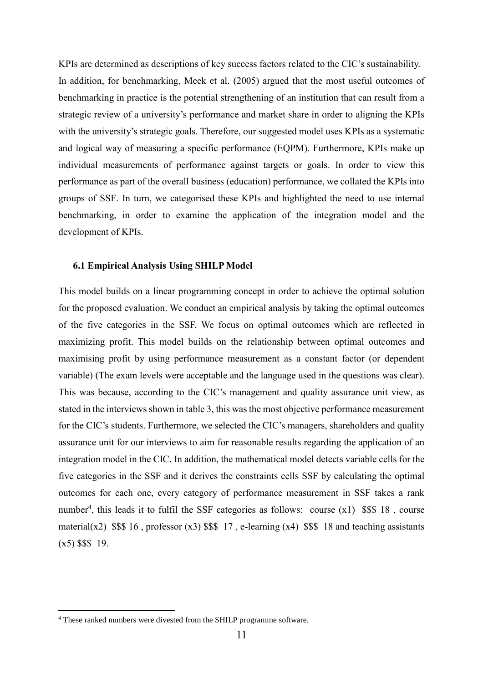KPIs are determined as descriptions of key success factors related to the CIC's sustainability. In addition, for benchmarking, Meek et al. (2005) argued that the most useful outcomes of benchmarking in practice is the potential strengthening of an institution that can result from a strategic review of a university's performance and market share in order to aligning the KPIs with the university's strategic goals. Therefore, our suggested model uses KPIs as a systematic and logical way of measuring a specific performance (EQPM). Furthermore, KPIs make up individual measurements of performance against targets or goals. In order to view this performance as part of the overall business (education) performance, we collated the KPIs into groups of SSF. In turn, we categorised these KPIs and highlighted the need to use internal benchmarking, in order to examine the application of the integration model and the development of KPIs.

#### **6.1 Empirical Analysis Using SHILP Model**

This model builds on a linear programming concept in order to achieve the optimal solution for the proposed evaluation. We conduct an empirical analysis by taking the optimal outcomes of the five categories in the SSF. We focus on optimal outcomes which are reflected in maximizing profit. This model builds on the relationship between optimal outcomes and maximising profit by using performance measurement as a constant factor (or dependent variable) (The exam levels were acceptable and the language used in the questions was clear). This was because, according to the CIC's management and quality assurance unit view, as stated in the interviews shown in table 3, this was the most objective performance measurement for the CIC's students. Furthermore, we selected the CIC's managers, shareholders and quality assurance unit for our interviews to aim for reasonable results regarding the application of an integration model in the CIC. In addition, the mathematical model detects variable cells for the five categories in the SSF and it derives the constraints cells SSF by calculating the optimal outcomes for each one, every category of performance measurement in SSF takes a rank number<sup>4</sup>, this leads it to fulfil the SSF categories as follows: course  $(x1)$  \$\$\$ 18, course material(x2) \$\$\$ 16, professor (x3) \$\$\$ 17, e-learning (x4) \$\$\$ 18 and teaching assistants  $(x5)$  \$\$\$ 19.

1

<sup>4</sup> These ranked numbers were divested from the SHILP programme software.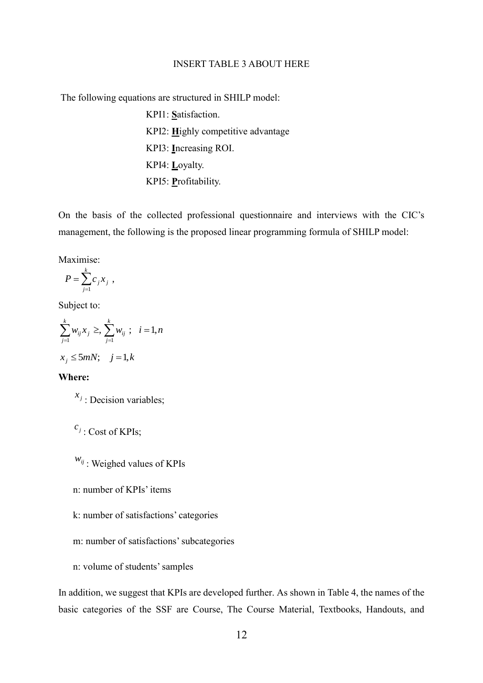#### INSERT TABLE 3 ABOUT HERE

The following equations are structured in SHILP model:

KPI1: **S**atisfaction. KPI2: **H**ighly competitive advantage KPI3: **I**ncreasing ROI. KPI4: **L**oyalty. KPI5: **P**rofitability.

On the basis of the collected professional questionnaire and interviews with the CIC's management, the following is the proposed linear programming formula of SHILP model:

Maximise:

$$
P = \sum_{j=1}^k c_j x_j ,
$$

Subject to:

$$
\sum_{j=1}^{k} w_{ij} x_j \ge \frac{1}{j+1} w_{ij} \; ; \; i = 1, n
$$
  

$$
x_j \le 5mN; \; j = 1, k
$$

# **Where:**

 $x_j$ : Decision variables;

```
c_j: Cost of KPIs;
```
*wij* : Weighed values of KPIs

n: number of KPIs' items

k: number of satisfactions' categories

- m: number of satisfactions' subcategories
- n: volume of students' samples

In addition, we suggest that KPIs are developed further. As shown in Table 4, the names of the basic categories of the SSF are Course, The Course Material, Textbooks, Handouts, and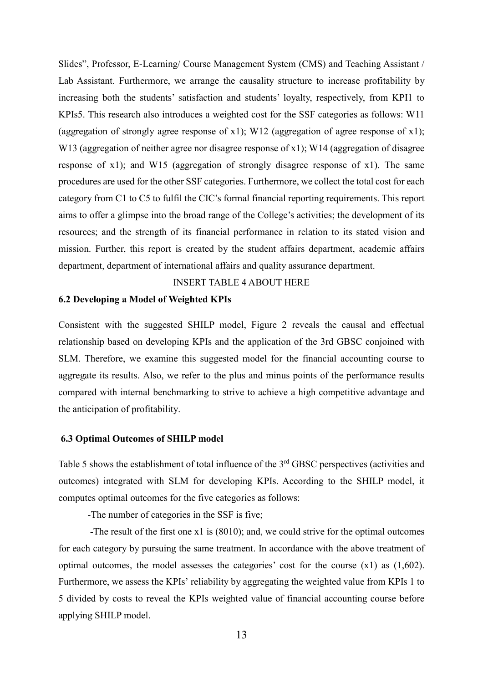Slides", Professor, E-Learning/ Course Management System (CMS) and Teaching Assistant / Lab Assistant. Furthermore, we arrange the causality structure to increase profitability by increasing both the students' satisfaction and students' loyalty, respectively, from KPI1 to KPIs5. This research also introduces a weighted cost for the SSF categories as follows: W11 (aggregation of strongly agree response of x1); W12 (aggregation of agree response of x1); W13 (aggregation of neither agree nor disagree response of x1); W14 (aggregation of disagree response of x1); and W15 (aggregation of strongly disagree response of x1). The same procedures are used for the other SSF categories. Furthermore, we collect the total cost for each category from C1 to C5 to fulfil the CIC's formal financial reporting requirements. This report aims to offer a glimpse into the broad range of the College's activities; the development of its resources; and the strength of its financial performance in relation to its stated vision and mission. Further, this report is created by the student affairs department, academic affairs department, department of international affairs and quality assurance department.

# INSERT TABLE 4 ABOUT HERE

#### **6.2 Developing a Model of Weighted KPIs**

Consistent with the suggested SHILP model, Figure 2 reveals the causal and effectual relationship based on developing KPIs and the application of the 3rd GBSC conjoined with SLM. Therefore, we examine this suggested model for the financial accounting course to aggregate its results. Also, we refer to the plus and minus points of the performance results compared with internal benchmarking to strive to achieve a high competitive advantage and the anticipation of profitability.

#### **6.3 Optimal Outcomes of SHILP model**

Table 5 shows the establishment of total influence of the 3<sup>rd</sup> GBSC perspectives (activities and outcomes) integrated with SLM for developing KPIs. According to the SHILP model, it computes optimal outcomes for the five categories as follows:

-The number of categories in the SSF is five;

 -The result of the first one x1 is (8010); and, we could strive for the optimal outcomes for each category by pursuing the same treatment. In accordance with the above treatment of optimal outcomes, the model assesses the categories' cost for the course (x1) as (1,602). Furthermore, we assess the KPIs' reliability by aggregating the weighted value from KPIs 1 to 5 divided by costs to reveal the KPIs weighted value of financial accounting course before applying SHILP model.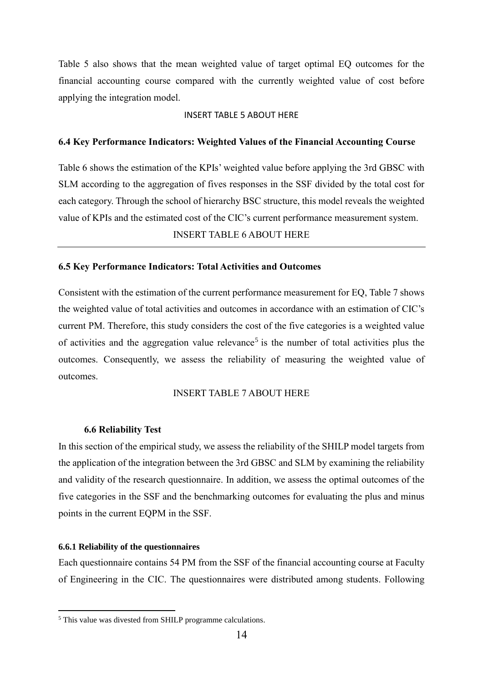Table 5 also shows that the mean weighted value of target optimal EQ outcomes for the financial accounting course compared with the currently weighted value of cost before applying the integration model.

#### INSERT TABLE 5 ABOUT HERE

#### **6.4 Key Performance Indicators: Weighted Values of the Financial Accounting Course**

Table 6 shows the estimation of the KPIs' weighted value before applying the 3rd GBSC with SLM according to the aggregation of fives responses in the SSF divided by the total cost for each category. Through the school of hierarchy BSC structure, this model reveals the weighted value of KPIs and the estimated cost of the CIC's current performance measurement system.

INSERT TABLE 6 ABOUT HERE

#### **6.5 Key Performance Indicators: Total Activities and Outcomes**

Consistent with the estimation of the current performance measurement for EQ, Table 7 shows the weighted value of total activities and outcomes in accordance with an estimation of CIC's current PM. Therefore, this study considers the cost of the five categories is a weighted value of activities and the aggregation value relevance<sup>5</sup> is the number of total activities plus the outcomes. Consequently, we assess the reliability of measuring the weighted value of outcomes.

#### INSERT TABLE 7 ABOUT HERE

#### **6.6 Reliability Test**

In this section of the empirical study, we assess the reliability of the SHILP model targets from the application of the integration between the 3rd GBSC and SLM by examining the reliability and validity of the research questionnaire. In addition, we assess the optimal outcomes of the five categories in the SSF and the benchmarking outcomes for evaluating the plus and minus points in the current EQPM in the SSF.

#### **6.6.1 Reliability of the questionnaires**

1

Each questionnaire contains 54 PM from the SSF of the financial accounting course at Faculty of Engineering in the CIC. The questionnaires were distributed among students. Following

<sup>5</sup> This value was divested from SHILP programme calculations.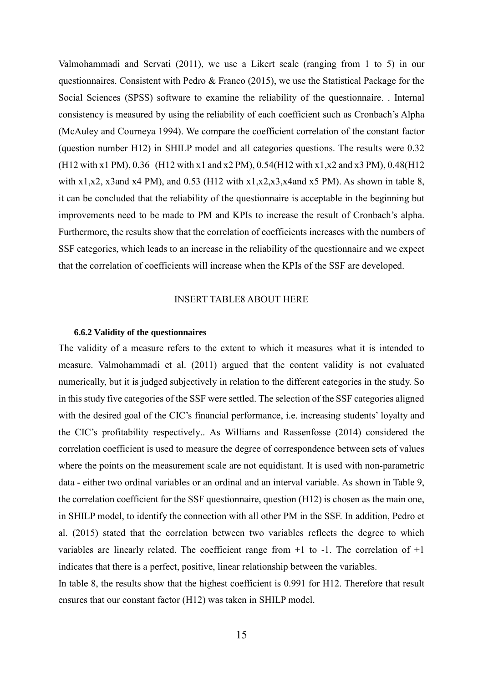Valmohammadi and Servati (2011), we use a Likert scale (ranging from 1 to 5) in our questionnaires. Consistent with Pedro & Franco (2015), we use the Statistical Package for the Social Sciences (SPSS) software to examine the reliability of the questionnaire. . Internal consistency is measured by using the reliability of each coefficient such as Cronbach's Alpha (McAuley and Courneya 1994). We compare the coefficient correlation of the constant factor (question number H12) in SHILP model and all categories questions. The results were 0.32 (H12 with x1 PM), 0.36 (H12 with x1 and x2 PM), 0.54(H12 with x1,x2 and x3 PM), 0.48(H12 with x1,x2, x3and x4 PM), and 0.53 (H12 with x1,x2,x3,x4and x5 PM). As shown in table 8, it can be concluded that the reliability of the questionnaire is acceptable in the beginning but improvements need to be made to PM and KPIs to increase the result of Cronbach's alpha. Furthermore, the results show that the correlation of coefficients increases with the numbers of SSF categories, which leads to an increase in the reliability of the questionnaire and we expect that the correlation of coefficients will increase when the KPIs of the SSF are developed.

# INSERT TABLE8 ABOUT HERE

### **6.6.2 Validity of the questionnaires**

The validity of a measure refers to the extent to which it measures what it is intended to measure. Valmohammadi et al. (2011) argued that the content validity is not evaluated numerically, but it is judged subjectively in relation to the different categories in the study. So in this study five categories of the SSF were settled. The selection of the SSF categories aligned with the desired goal of the CIC's financial performance, i.e. increasing students' loyalty and the CIC's profitability respectively.. As Williams and Rassenfosse (2014) considered the correlation coefficient is used to measure the degree of correspondence between sets of values where the points on the measurement scale are not equidistant. It is used with non-parametric data - either two ordinal variables or an ordinal and an interval variable. As shown in Table 9, the correlation coefficient for the SSF questionnaire, question (H12) is chosen as the main one, in SHILP model, to identify the connection with all other PM in the SSF. In addition, Pedro et al. (2015) stated that the correlation between two variables reflects the degree to which variables are linearly related. The coefficient range from  $+1$  to  $-1$ . The correlation of  $+1$ indicates that there is a perfect, positive, linear relationship between the variables.

In table 8, the results show that the highest coefficient is 0.991 for H12. Therefore that result ensures that our constant factor (H12) was taken in SHILP model.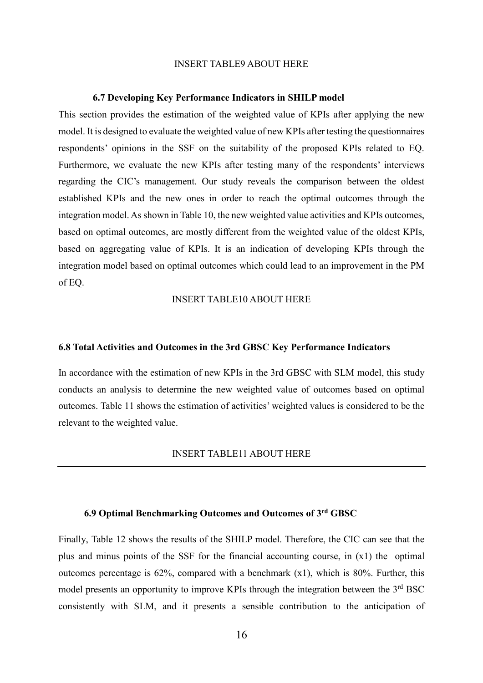#### INSERT TABLE9 ABOUT HERE

#### **6.7 Developing Key Performance Indicators in SHILP model**

This section provides the estimation of the weighted value of KPIs after applying the new model. It is designed to evaluate the weighted value of new KPIs after testing the questionnaires respondents' opinions in the SSF on the suitability of the proposed KPIs related to EQ. Furthermore, we evaluate the new KPIs after testing many of the respondents' interviews regarding the CIC's management. Our study reveals the comparison between the oldest established KPIs and the new ones in order to reach the optimal outcomes through the integration model. As shown in Table 10, the new weighted value activities and KPIs outcomes, based on optimal outcomes, are mostly different from the weighted value of the oldest KPIs, based on aggregating value of KPIs. It is an indication of developing KPIs through the integration model based on optimal outcomes which could lead to an improvement in the PM of EQ.

## INSERT TABLE10 ABOUT HERE

#### **6.8 Total Activities and Outcomes in the 3rd GBSC Key Performance Indicators**

In accordance with the estimation of new KPIs in the 3rd GBSC with SLM model, this study conducts an analysis to determine the new weighted value of outcomes based on optimal outcomes. Table 11 shows the estimation of activities' weighted values is considered to be the relevant to the weighted value.

#### INSERT TABLE11 ABOUT HERE

# **6.9 Optimal Benchmarking Outcomes and Outcomes of 3rd GBSC**

Finally, Table 12 shows the results of the SHILP model. Therefore, the CIC can see that the plus and minus points of the SSF for the financial accounting course, in (x1) the optimal outcomes percentage is  $62\%$ , compared with a benchmark  $(x1)$ , which is 80%. Further, this model presents an opportunity to improve KPIs through the integration between the  $3<sup>rd</sup> BSC$ consistently with SLM, and it presents a sensible contribution to the anticipation of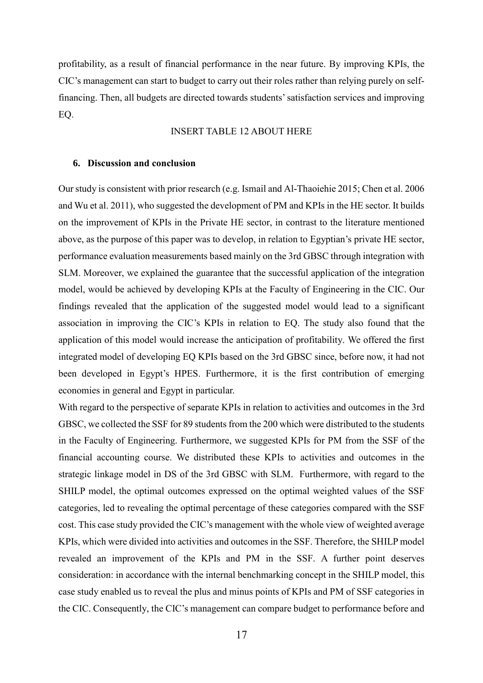profitability, as a result of financial performance in the near future. By improving KPIs, the CIC's management can start to budget to carry out their roles rather than relying purely on selffinancing. Then, all budgets are directed towards students' satisfaction services and improving EQ.

### INSERT TABLE 12 ABOUT HERE

#### **6. Discussion and conclusion**

Our study is consistent with prior research (e.g. Ismail and Al-Thaoiehie 2015; Chen et al. 2006 and Wu et al. 2011), who suggested the development of PM and KPIs in the HE sector. It builds on the improvement of KPIs in the Private HE sector, in contrast to the literature mentioned above, as the purpose of this paper was to develop, in relation to Egyptian's private HE sector, performance evaluation measurements based mainly on the 3rd GBSC through integration with SLM. Moreover, we explained the guarantee that the successful application of the integration model, would be achieved by developing KPIs at the Faculty of Engineering in the CIC. Our findings revealed that the application of the suggested model would lead to a significant association in improving the CIC's KPIs in relation to EQ. The study also found that the application of this model would increase the anticipation of profitability. We offered the first integrated model of developing EQ KPIs based on the 3rd GBSC since, before now, it had not been developed in Egypt's HPES. Furthermore, it is the first contribution of emerging economies in general and Egypt in particular.

With regard to the perspective of separate KPIs in relation to activities and outcomes in the 3rd GBSC, we collected the SSF for 89 students from the 200 which were distributed to the students in the Faculty of Engineering. Furthermore, we suggested KPIs for PM from the SSF of the financial accounting course. We distributed these KPIs to activities and outcomes in the strategic linkage model in DS of the 3rd GBSC with SLM. Furthermore, with regard to the SHILP model, the optimal outcomes expressed on the optimal weighted values of the SSF categories, led to revealing the optimal percentage of these categories compared with the SSF cost. This case study provided the CIC's management with the whole view of weighted average KPIs, which were divided into activities and outcomes in the SSF. Therefore, the SHILP model revealed an improvement of the KPIs and PM in the SSF. A further point deserves consideration: in accordance with the internal benchmarking concept in the SHILP model, this case study enabled us to reveal the plus and minus points of KPIs and PM of SSF categories in the CIC. Consequently, the CIC's management can compare budget to performance before and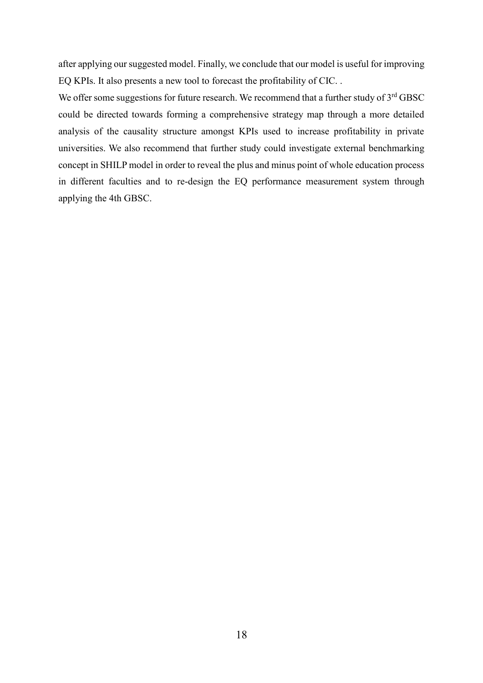after applying our suggested model. Finally, we conclude that our model is useful for improving EQ KPIs. It also presents a new tool to forecast the profitability of CIC. .

We offer some suggestions for future research. We recommend that a further study of 3<sup>rd</sup> GBSC could be directed towards forming a comprehensive strategy map through a more detailed analysis of the causality structure amongst KPIs used to increase profitability in private universities. We also recommend that further study could investigate external benchmarking concept in SHILP model in order to reveal the plus and minus point of whole education process in different faculties and to re-design the EQ performance measurement system through applying the 4th GBSC.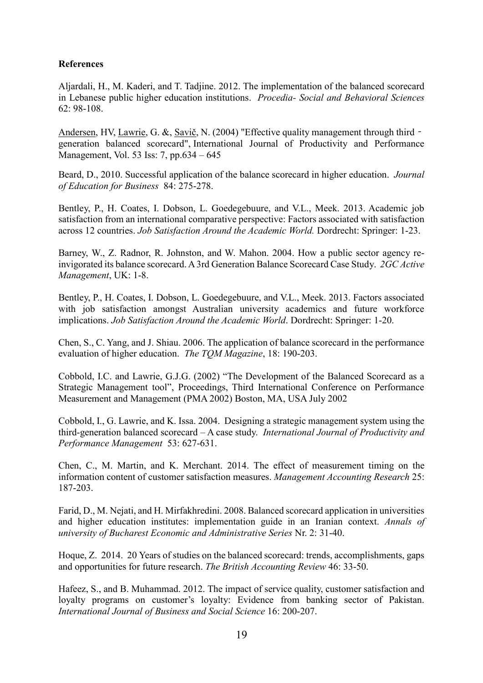# **References**

Aljardali, H., M. Kaderi, and T. Tadjine. 2012. The implementation of the balanced scorecard in Lebanese public higher education institutions. *Procedia- Social and Behavioral Sciences* 62: 98-108.

[Andersen,](http://www.emeraldinsight.com/author/Andersen%2C+Henrik+V) HV, [Lawrie,](http://www.emeraldinsight.com/author/Lawrie%2C+Gavin) G. &, [Savič,](http://www.emeraldinsight.com/author/Savi%C4%8D%2C+Nenad) N. (2004) "Effective quality management through third generation balanced scorecard", International Journal of Productivity and Performance Management, Vol. 53 Iss: 7, pp.634 – 645

Beard, D., 2010. Successful application of the balance scorecard in higher education. *Journal of Education for Business* 84: 275-278.

Bentley, P., H. Coates, I. Dobson, L. Goedegebuure, and V.L., Meek. 2013. Academic job satisfaction from an international comparative perspective: Factors associated with satisfaction across 12 countries. *Job Satisfaction Around the Academic World.* Dordrecht: Springer: 1-23.

Barney, W., Z. Radnor, R. Johnston, and W. Mahon. 2004. How a public sector agency reinvigorated its balance scorecard. A 3rd Generation Balance Scorecard Case Study. *2GC Active Management*, UK: 1-8.

Bentley, P., H. Coates, I. Dobson, L. Goedegebuure, and V.L., Meek. 2013. Factors associated with job satisfaction amongst Australian university academics and future workforce implications. *Job Satisfaction Around the Academic World*. Dordrecht: Springer: 1-20.

Chen, S., C. Yang, and J. Shiau. 2006. The application of balance scorecard in the performance evaluation of higher education. *The TQM Magazine*, 18: 190-203.

Cobbold, I.C. and Lawrie, G.J.G. (2002) "The Development of the Balanced Scorecard as a Strategic Management tool", Proceedings, Third International Conference on Performance Measurement and Management (PMA 2002) Boston, MA, USA July 2002

Cobbold, I., G. Lawrie, and K. Issa. 2004. Designing a strategic management system using the third-generation balanced scorecard – A case study. *International Journal of Productivity and Performance Management* 53: 627-631.

Chen, C., M. Martin, and K. Merchant. 2014. The effect of measurement timing on the information content of customer satisfaction measures. *Management Accounting Research* 25: 187-203.

Farid, D., M. Nejati, and H. Mirfakhredini. 2008. Balanced scorecard application in universities and higher education institutes: implementation guide in an Iranian context. *Annals of university of Bucharest Economic and Administrative Series* Nr. 2: 31-40.

Hoque, Z. 2014. 20 Years of studies on the balanced scorecard: trends, accomplishments, gaps and opportunities for future research. *The British Accounting Review* 46: 33-50.

Hafeez, S., and B. Muhammad. 2012. The impact of service quality, customer satisfaction and loyalty programs on customer's loyalty: Evidence from banking sector of Pakistan. *International Journal of Business and Social Science* 16: 200-207.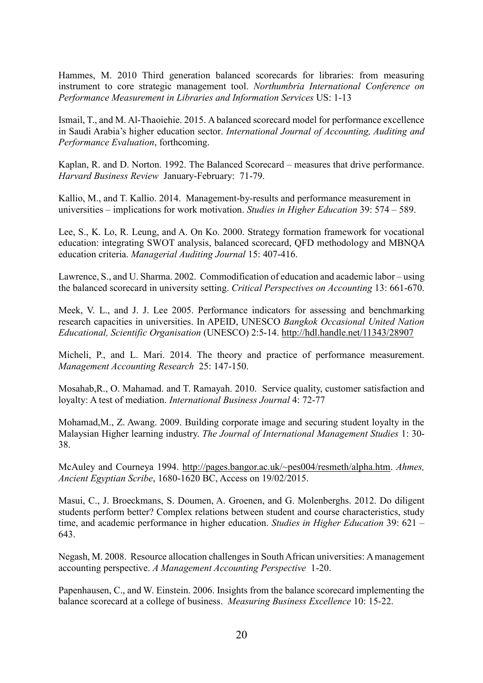Hammes, M. 2010 Third generation balanced scorecards for libraries: from measuring instrument to core strategic management tool. *Northumbria International Conference on Performance Measurement in Libraries and Information Services* US: 1-13

Ismail, T., and M. Al-Thaoiehie. 2015. A balanced scorecard model for performance excellence in Saudi Arabia's higher education sector. *International Journal of Accounting, Auditing and Performance Evaluation*, forthcoming.

Kaplan, R. and D. Norton. 1992. The Balanced Scorecard – measures that drive performance. *Harvard Business Review* January-February: 71-79.

Kallio, M., and T. Kallio. 2014. Management-by-results and performance measurement in universities – implications for work motivation. *Studies in Higher Education* 39: 574 – 589.

Lee, S., K. Lo, R. Leung, and A. On Ko. 2000. Strategy formation framework for vocational education: integrating SWOT analysis, balanced scorecard, QFD methodology and MBNQA education criteria. *Managerial Auditing Journal* 15: 407-416.

Lawrence, S., and U. Sharma. 2002. Commodification of education and academic labor – using the balanced scorecard in university setting. *Critical Perspectives on Accounting* 13: 661-670.

Meek, V. L., and J. J. Lee 2005. Performance indicators for assessing and benchmarking research capacities in universities. In APEID, UNESCO *Bangkok Occasional United Nation Educational, Scientific Organisation* (UNESCO) 2:5-14.<http://hdl.handle.net/11343/28907>

Micheli, P., and L. Mari. 2014. The theory and practice of performance measurement. *Management Accounting Research* 25: 147-150.

Mosahab,R., O. Mahamad. and T. Ramayah. 2010. Service quality, customer satisfaction and loyalty: A test of mediation. *International Business Journal* 4: 72-77

Mohamad,M., Z. Awang. 2009. Building corporate image and securing student loyalty in the Malaysian Higher learning industry. *The Journal of International Management Studies* 1: 30- 38.

McAuley and Courneya 1994. [http://pages.bangor.ac.uk/~pes004/resmeth/alpha.htm.](http://pages.bangor.ac.uk/~pes004/resmeth/alpha.htm) *Ahmes, Ancient Egyptian Scribe*, 1680-1620 BC, Access on 19/02/2015.

Masui, C., J. Broeckmans, S. Doumen, A. Groenen, and G. Molenberghs. 2012. Do diligent students perform better? Complex relations between student and course characteristics, study time, and academic performance in higher education. *Studies in Higher Education* 39: 621 – 643.

Negash, M. 2008. Resource allocation challenges in South African universities: A management accounting perspective. *A Management Accounting Perspective* 1-20.

Papenhausen, C., and W. Einstein. 2006. Insights from the balance scorecard implementing the balance scorecard at a college of business. *Measuring Business Excellence* 10: 15-22.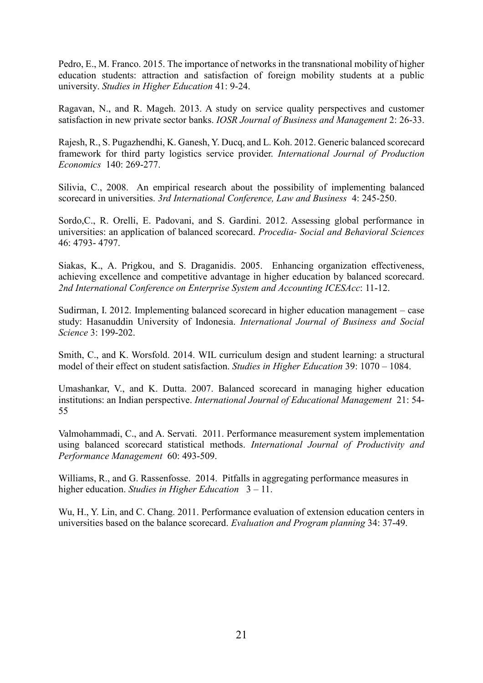Pedro, E., M. Franco. 2015. The importance of networks in the transnational mobility of higher education students: attraction and satisfaction of foreign mobility students at a public university. *Studies in Higher Education* 41: 9-24.

Ragavan, N., and R. Mageh. 2013. A study on service quality perspectives and customer satisfaction in new private sector banks. *IOSR Journal of Business and Management* 2: 26-33.

Rajesh, R., S. Pugazhendhi, K. Ganesh, Y. Ducq, and L. Koh. 2012. Generic balanced scorecard framework for third party logistics service provider. *International Journal of Production Economics* 140: 269-277.

Silivia, C., 2008. An empirical research about the possibility of implementing balanced scorecard in universities. *3rd International Conference, Law and Business* 4: 245-250.

Sordo,C., R. Orelli, E. Padovani, and S. Gardini. 2012. Assessing global performance in universities: an application of balanced scorecard. *Procedia- Social and Behavioral Sciences* 46: 4793- 4797.

Siakas, K., A. Prigkou, and S. Draganidis. 2005. Enhancing organization effectiveness, achieving excellence and competitive advantage in higher education by balanced scorecard. *2nd International Conference on Enterprise System and Accounting ICESAcc*: 11-12.

Sudirman, I. 2012. Implementing balanced scorecard in higher education management – case study: Hasanuddin University of Indonesia. *International Journal of Business and Social Science* 3: 199-202.

Smith, C., and K. Worsfold. 2014. WIL curriculum design and student learning: a structural model of their effect on student satisfaction. *Studies in Higher Education* 39: 1070 – 1084.

Umashankar, V., and K. Dutta. 2007. Balanced scorecard in managing higher education institutions: an Indian perspective. *International Journal of Educational Management* 21: 54- 55

Valmohammadi, C., and A. Servati. 2011. Performance measurement system implementation using balanced scorecard statistical methods. *International Journal of Productivity and Performance Management* 60: 493-509.

Williams, R., and G. Rassenfosse. 2014. Pitfalls in aggregating performance measures in higher education. *Studies in Higher Education* 3 – 11.

Wu, H., Y. Lin, and C. Chang. 2011. Performance evaluation of extension education centers in universities based on the balance scorecard. *Evaluation and Program planning* 34: 37-49.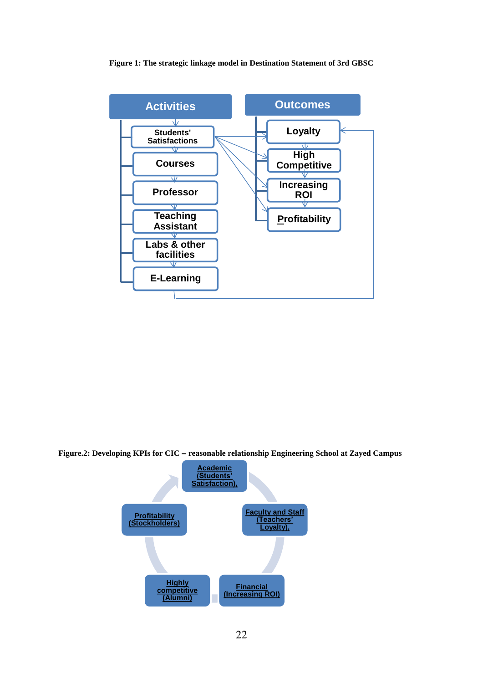#### **Figure 1: The strategic linkage model in Destination Statement of 3rd GBSC**



**Figure.2: Developing KPIs for CIC – reasonable relationship Engineering School at Zayed Campus**

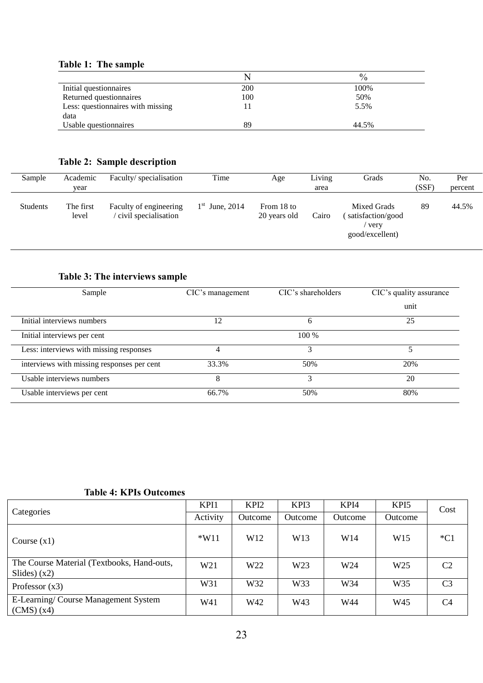# **Table 1: The sample**

|                                   |            | $\frac{0}{0}$ |
|-----------------------------------|------------|---------------|
| Initial questionnaires            | <b>200</b> | 100%          |
| Returned questionnaires           | 100        | 50%           |
| Less: questionnaires with missing |            | 5.5%          |
| data                              |            |               |
| Usable question paires            | 89         | 44.5%         |

# **Table 2: Sample description**

| Sample   | Academic<br>vear   | Faculty/specialisation                         | Time             | Age                        | Living<br>area | Grads                                                         | No.<br>(SSF) | Per<br>percent |
|----------|--------------------|------------------------------------------------|------------------|----------------------------|----------------|---------------------------------------------------------------|--------------|----------------|
| Students | The first<br>level | Faculty of engineering<br>civil specialisation | $1st$ June, 2014 | From 18 to<br>20 years old | Cairo          | Mixed Grads<br>satisfaction/good<br>' very<br>good/excellent) | 89           | 44.5%          |

# **Table 3: The interviews sample**

| Sample                                     | CIC's management | CIC's shareholders | CIC's quality assurance |
|--------------------------------------------|------------------|--------------------|-------------------------|
|                                            |                  |                    | unit                    |
| Initial interviews numbers                 | 12               | 6                  | 25                      |
| Initial interviews per cent                |                  | 100 %              |                         |
| Less: interviews with missing responses    | 4                | 3                  |                         |
| interviews with missing responses per cent | 33.3%            | 50%                | 20%                     |
| Usable interviews numbers                  | 8                | 3                  | 20                      |
| Usable interviews per cent                 | 66.7%            | 50%                | 80%                     |

# **Table 4: KPIs Outcomes**

|                                                              | KPI1            | KPI <sub>2</sub> | KPI3            | KPI4    | KPI <sub>5</sub> | Cost           |
|--------------------------------------------------------------|-----------------|------------------|-----------------|---------|------------------|----------------|
| Categories                                                   | Activity        | Outcome          | Outcome         | Outcome | Outcome          |                |
| Course $(x1)$                                                | $*W11$          | W <sub>12</sub>  | W13             | W14     | W <sub>15</sub>  | $*C1$          |
| The Course Material (Textbooks, Hand-outs,<br>Slides) $(x2)$ | W <sub>21</sub> | W <sub>22</sub>  | W <sub>23</sub> | W24     | W <sub>25</sub>  | C2             |
| Professor $(x3)$                                             | W31             | W32              | W33             | W34     | W <sub>35</sub>  | C <sub>3</sub> |
| E-Learning/Course Management System<br>(CMS)(x4)             | W41             | W42              | W43             | W44     | W45              | C <sub>4</sub> |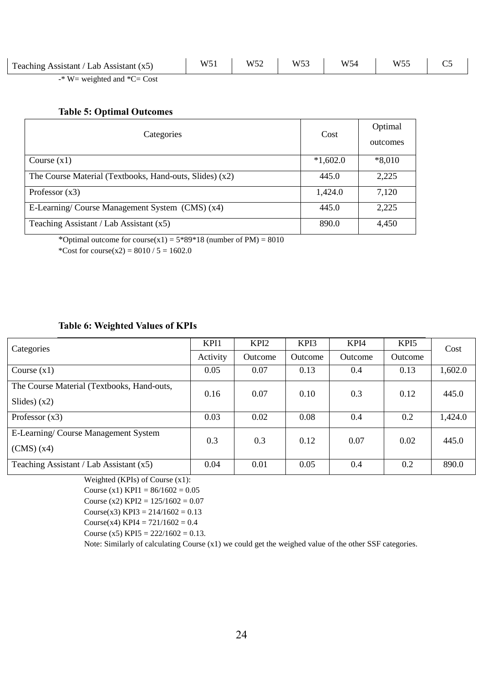| Teaching Assistant / Lab Assistant $(x5)$ | W5 | <b>TTTHA</b><br>W 5 | W52 | <b>TTTF</b> | W55 |  |
|-------------------------------------------|----|---------------------|-----|-------------|-----|--|
| J. TT I                                   |    |                     |     |             |     |  |

-\* W= weighted and \*C= Cost

#### **Table 5: Optimal Outcomes**

| Categories                                              | Cost       | Optimal<br>outcomes |
|---------------------------------------------------------|------------|---------------------|
| Course $(x1)$                                           | $*1,602.0$ | $*8,010$            |
| The Course Material (Textbooks, Hand-outs, Slides) (x2) | 445.0      | 2,225               |
| Professor $(x3)$                                        | 1,424.0    | 7,120               |
| E-Learning/ Course Management System (CMS) (x4)         | 445.0      | 2,225               |
| Teaching Assistant / Lab Assistant (x5)                 | 890.0      | 4,450               |

\*Optimal outcome for course(x1) =  $5*89*18$  (number of PM) =  $8010$ 

\*Cost for course(x2) =  $8010 / 5 = 1602.0$ 

## **Table 6: Weighted Values of KPIs**

| Categories                                 | KPI1     | KPI <sub>2</sub> | KPI3    | KPI4    | KPI5    | Cost    |
|--------------------------------------------|----------|------------------|---------|---------|---------|---------|
|                                            | Activity | Outcome          | Outcome | Outcome | Outcome |         |
| Course $(x1)$                              | 0.05     | 0.07             | 0.13    | 0.4     | 0.13    | 1,602.0 |
| The Course Material (Textbooks, Hand-outs, | 0.16     | 0.07             | 0.10    | 0.3     | 0.12    | 445.0   |
| Slides $(x2)$                              |          |                  |         |         |         |         |
| Professor $(x3)$                           | 0.03     | 0.02             | 0.08    | 0.4     | 0.2     | 1,424.0 |
| E-Learning/Course Management System        | 0.3      | 0.3              | 0.12    | 0.07    | 0.02    | 445.0   |
| (CMS)(x4)                                  |          |                  |         |         |         |         |
| Teaching Assistant / Lab Assistant $(x5)$  | 0.04     | 0.01             | 0.05    | 0.4     | 0.2     | 890.0   |

Weighted (KPIs) of Course (x1):

Course (x1) KPI1 =  $86/1602 = 0.05$ 

Course (x2) KPI2 =  $125/1602 = 0.07$ 

Course(x3) KPI3 =  $214/1602 = 0.13$ 

Course(x4) KPI4 =  $721/1602 = 0.4$ 

Course (x5) KPI5 =  $222/1602 = 0.13$ .

Note: Similarly of calculating Course (x1) we could get the weighed value of the other SSF categories.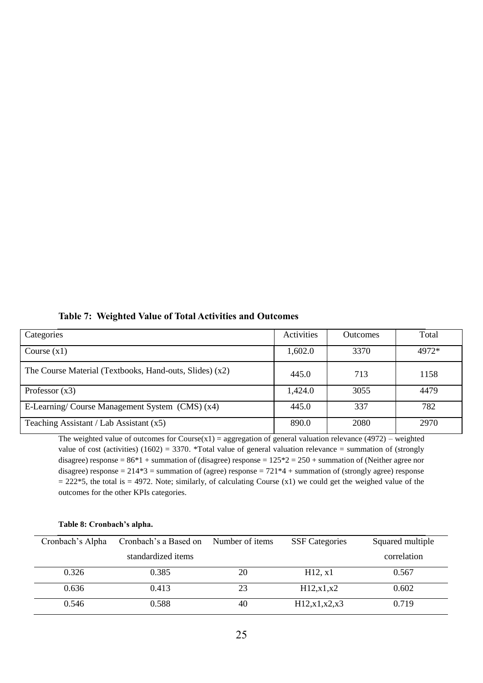|  |  | <b>Table 7: Weighted Value of Total Activities and Outcomes</b> |  |  |
|--|--|-----------------------------------------------------------------|--|--|
|--|--|-----------------------------------------------------------------|--|--|

| Categories                                              | Activities | <b>Outcomes</b> | Total |
|---------------------------------------------------------|------------|-----------------|-------|
| Course $(x1)$                                           | 1,602.0    | 3370            | 4972* |
| The Course Material (Textbooks, Hand-outs, Slides) (x2) | 445.0      | 713             | 1158  |
| Professor $(x3)$                                        | 1,424.0    | 3055            | 4479  |
| E-Learning/ Course Management System (CMS) (x4)         | 445.0      | 337             | 782   |
| Teaching Assistant / Lab Assistant $(x5)$               | 890.0      | 2080            | 2970  |

The weighted value of outcomes for Course $(x1)$  = aggregation of general valuation relevance (4972) – weighted value of cost (activities) (1602) = 3370. \*Total value of general valuation relevance = summation of (strongly disagree) response =  $86*1$  + summation of (disagree) response =  $125*2 = 250$  + summation of (Neither agree nor disagree) response =  $214*3$  = summation of (agree) response =  $721*4$  + summation of (strongly agree) response  $= 222*5$ , the total is  $= 4972$ . Note; similarly, of calculating Course (x1) we could get the weighed value of the outcomes for the other KPIs categories.

| Cronbach's Alpha | Cronbach's a Based on | Number of items | <b>SSF</b> Categories | Squared multiple |
|------------------|-----------------------|-----------------|-----------------------|------------------|
|                  | standardized items    |                 |                       | correlation      |
| 0.326            | 0.385                 | 20              | H12, x1               | 0.567            |
| 0.636            | 0.413                 | 23              | H12, x1, x2           | 0.602            |
| 0.546            | 0.588                 | 40              | H12, x1, x2, x3       | 0.719            |

#### **Table 8: Cronbach's alpha.**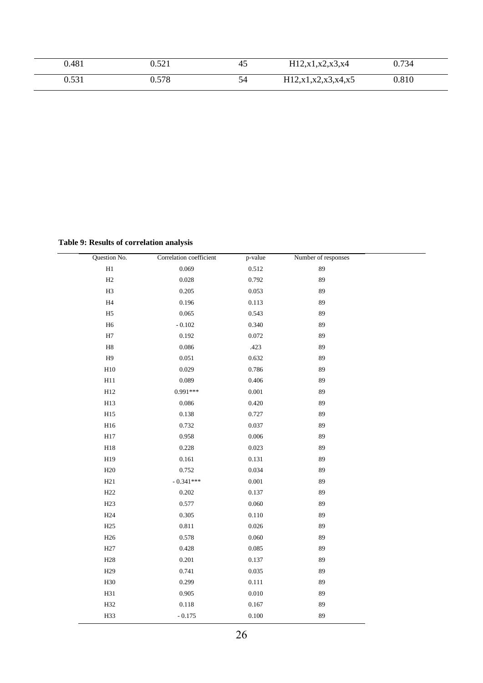| 0.481                 | 501<br>∪.J∠⊥ | 45 | H12, x1, x2, x3, x4     | 0.734 |  |
|-----------------------|--------------|----|-------------------------|-------|--|
| $\Omega$ 521<br>v.vji | 0.578        | 54 | H12, x1, x2, x3, x4, x5 | 0.810 |  |

**Table 9: Results of correlation analysis** 

| Question No.    | Correlation coefficient | p-value   | Number of responses |  |
|-----------------|-------------------------|-----------|---------------------|--|
| $\rm H1$        | 0.069                   | 0.512     | 89                  |  |
| $\rm H2$        | 0.028                   | 0.792     | 89                  |  |
| H3              | 0.205                   | 0.053     | 89                  |  |
| H4              | 0.196                   | 0.113     | 89                  |  |
| H <sub>5</sub>  | 0.065                   | 0.543     | 89                  |  |
| $_{\rm H6}$     | $\sim 0.102$            | 0.340     | 89                  |  |
| $\rm H7$        | 0.192                   | 0.072     | 89                  |  |
| $_{\rm H8}$     | 0.086                   | .423      | 89                  |  |
| H9              | $0.051\,$               | 0.632     | 89                  |  |
| H10             | 0.029                   | 0.786     | 89                  |  |
| H11             | 0.089                   | 0.406     | 89                  |  |
| H12             | $0.991***$              | $0.001\,$ | 89                  |  |
| H13             | 0.086                   | 0.420     | 89                  |  |
| H15             | 0.138                   | 0.727     | 89                  |  |
| H16             | 0.732                   | 0.037     | 89                  |  |
| H17             | 0.958                   | $0.006\,$ | 89                  |  |
| H18             | 0.228                   | 0.023     | 89                  |  |
| H19             | $0.161\,$               | 0.131     | 89                  |  |
| H20             | 0.752                   | 0.034     | 89                  |  |
| H21             | $-0.341***$             | $0.001\,$ | 89                  |  |
| H22             | 0.202                   | 0.137     | 89                  |  |
| H <sub>23</sub> | 0.577                   | 0.060     | 89                  |  |
| H <sub>24</sub> | 0.305                   | $0.110\,$ | 89                  |  |
| H25             | 0.811                   | 0.026     | 89                  |  |
| H26             | 0.578                   | 0.060     | 89                  |  |
| H <sub>27</sub> | 0.428                   | 0.085     | 89                  |  |
| H <sub>28</sub> | 0.201                   | 0.137     | 89                  |  |
| H <sub>29</sub> | 0.741                   | 0.035     | 89                  |  |
| H30             | 0.299                   | 0.111     | 89                  |  |
| H31             | 0.905                   | 0.010     | 89                  |  |
| H32             | $0.118\,$               | 0.167     | 89                  |  |
| H33             | $-0.175$                | 0.100     | 89                  |  |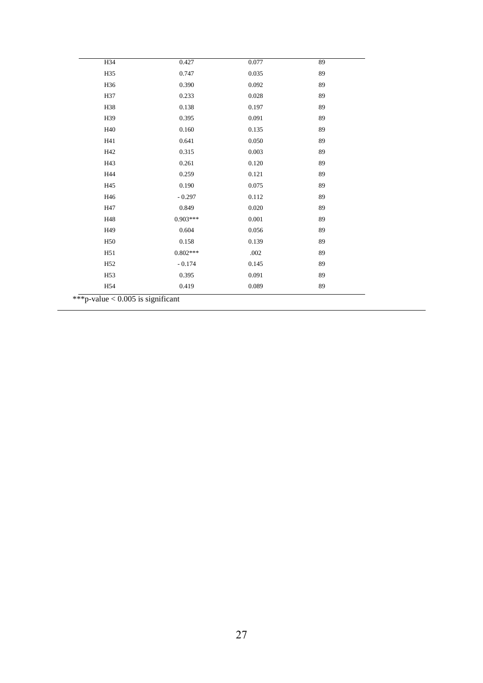| H34             | 0.427      | 0.077 | 89 |
|-----------------|------------|-------|----|
| H35             | 0.747      | 0.035 | 89 |
| H36             | 0.390      | 0.092 | 89 |
| H37             | 0.233      | 0.028 | 89 |
| H38             | 0.138      | 0.197 | 89 |
| H39             | 0.395      | 0.091 | 89 |
| H40             | 0.160      | 0.135 | 89 |
| H41             | 0.641      | 0.050 | 89 |
| H42             | 0.315      | 0.003 | 89 |
| H43             | 0.261      | 0.120 | 89 |
| H44             | 0.259      | 0.121 | 89 |
| H45             | 0.190      | 0.075 | 89 |
| H46             | $-0.297$   | 0.112 | 89 |
| H47             | 0.849      | 0.020 | 89 |
| H48             | $0.903***$ | 0.001 | 89 |
| H <sub>49</sub> | 0.604      | 0.056 | 89 |
| H <sub>50</sub> | 0.158      | 0.139 | 89 |
| H <sub>51</sub> | $0.802***$ | .002  | 89 |
| H <sub>52</sub> | $-0.174$   | 0.145 | 89 |
| H <sub>53</sub> | 0.395      | 0.091 | 89 |
| H54             | 0.419      | 0.089 | 89 |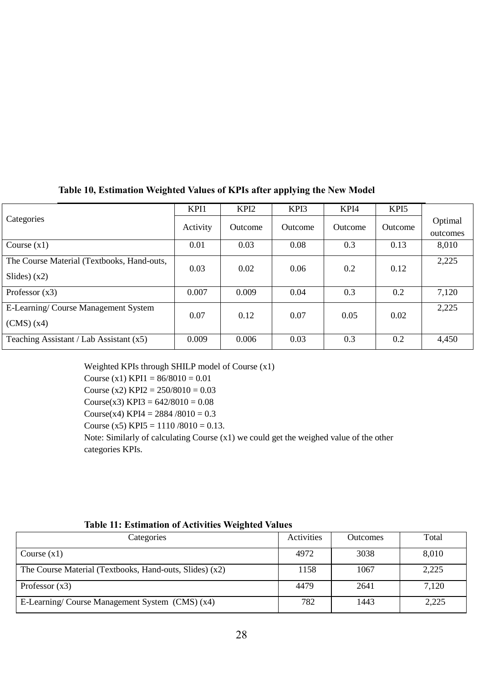|                                                              | KPI1     | KPI <sub>2</sub> | KPI3    | KPI4    | KPI <sub>5</sub> |                     |
|--------------------------------------------------------------|----------|------------------|---------|---------|------------------|---------------------|
| Categories                                                   | Activity | <b>Outcome</b>   | Outcome | Outcome | Outcome          | Optimal<br>outcomes |
| Course $(x1)$                                                | 0.01     | 0.03             | 0.08    | 0.3     | 0.13             | 8,010               |
| The Course Material (Textbooks, Hand-outs,<br>Slides) $(x2)$ | 0.03     | 0.02             | 0.06    | 0.2     | 0.12             | 2,225               |
| Professor $(x3)$                                             | 0.007    | 0.009            | 0.04    | 0.3     | 0.2              | 7,120               |
| E-Learning/Course Management System<br>(CMS)(x4)             | 0.07     | 0.12             | 0.07    | 0.05    | 0.02             | 2,225               |
| Teaching Assistant / Lab Assistant $(x5)$                    | 0.009    | 0.006            | 0.03    | 0.3     | 0.2              | 4,450               |

# **Table 10, Estimation Weighted Values of KPIs after applying the New Model**

Weighted KPIs through SHILP model of Course (x1) Course (x1) KPI1 =  $86/8010 = 0.01$ Course (x2) KPI2 =  $250/8010 = 0.03$ Course(x3) KPI3 =  $642/8010 = 0.08$ Course(x4) KPI4 =  $2884 / 8010 = 0.3$ Course (x5) KPI5 =  $1110/8010 = 0.13$ . Note: Similarly of calculating Course (x1) we could get the weighed value of the other categories KPIs.

| Categories                                              | Activities | <b>Outcomes</b> | Total |
|---------------------------------------------------------|------------|-----------------|-------|
| Course $(x1)$                                           | 4972       | 3038            | 8,010 |
| The Course Material (Textbooks, Hand-outs, Slides) (x2) | 1158       | 1067            | 2,225 |
| Professor $(x3)$                                        | 4479       | 2641            | 7,120 |
| E-Learning/Course Management System (CMS) (x4)          | 782        | 1443            | 2,225 |

## **Table 11: Estimation of Activities Weighted Values**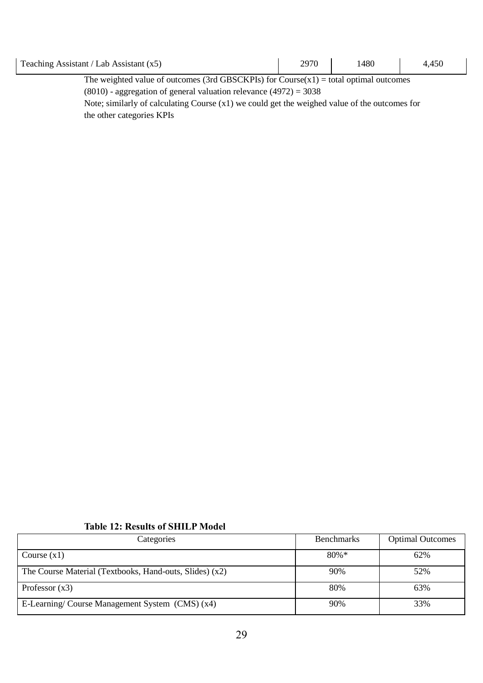| Teaching Assistant / Lab Assistant $(x5)$                                                                                                                                                                                                                   | 2970 | 1480 |  |  |
|-------------------------------------------------------------------------------------------------------------------------------------------------------------------------------------------------------------------------------------------------------------|------|------|--|--|
| $\mathbf{Th}_{i,j}$ and the decline of esterminal $\mathbf{Q}$ of $\mathbf{C}\mathbf{D}\mathbf{C}\mathbf{C}\mathbf{V}\mathbf{D}\mathbf{I}_{i}$ . $\mathbf{C}_{i,j}$ $\mathbf{C}_{i,j}$ and $\mathbf{C}_{i,j}$ and $\mathbf{C}_{i,j}$ and $\mathbf{C}_{i,j}$ |      |      |  |  |

The weighted value of outcomes (3rd GBSCKPIs) for  $Course(x1) = total optimal outcomes$ (8010) - aggregation of general valuation relevance (4972) = 3038

Note; similarly of calculating Course (x1) we could get the weighed value of the outcomes for the other categories KPIs

### **Table 12: Results of SHILP Model**

| Categories                                              | <b>Benchmarks</b> | <b>Optimal Outcomes</b> |  |
|---------------------------------------------------------|-------------------|-------------------------|--|
| Course $(x1)$                                           | $80\% *$          | 62%                     |  |
| The Course Material (Textbooks, Hand-outs, Slides) (x2) | 90%               | 52%                     |  |
| Professor $(x3)$                                        | 80%               | 63%                     |  |
| E-Learning/ Course Management System (CMS) (x4)         | 90%               | 33%                     |  |